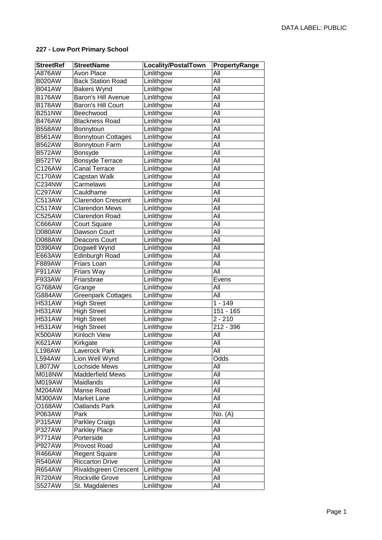## **227 - Low Port Primary School**

| <b>StreetRef</b> | <b>StreetName</b>          | Locality/PostalTown | PropertyRange |
|------------------|----------------------------|---------------------|---------------|
| A876AW           | Avon Place                 | Linlithgow          | All           |
| <b>B020AW</b>    | <b>Back Station Road</b>   | Linlithgow          | All           |
| <b>B041AW</b>    | <b>Bakers Wynd</b>         | Linlithgow          | All           |
| <b>B176AW</b>    | <b>Baron's Hill Avenue</b> | Linlithgow          | All           |
| <b>B178AW</b>    | Baron's Hill Court         | Linlithgow          | All           |
| <b>B251NW</b>    | Beechwood                  | Linlithgow          | All           |
| <b>B476AW</b>    | <b>Blackness Road</b>      | Linlithgow          | All           |
| <b>B558AW</b>    | Bonnytoun                  | Linlithgow          | All           |
| <b>B561AW</b>    | Bonnytoun Cottages         | Linlithgow          | All           |
| <b>B562AW</b>    | Bonnytoun Farm             | Linlithgow          | All           |
| <b>B572AW</b>    | Bonsyde                    | Linlithgow          | All           |
| <b>B572TW</b>    | Bonsyde Terrace            | Linlithgow          | All           |
| C126AW           | Canal Terrace              | Linlithgow          | All           |
| C170AW           | Capstan Walk               | Linlithgow          | All           |
| C234NW           | Carmelaws                  | Linlithgow          | All           |
| C297AW           | Cauldhame                  | Linlithgow          | All           |
| C513AW           | <b>Clarendon Crescent</b>  | Linlithgow          | All           |
| C517AW           | <b>Clarendon Mews</b>      | Linlithgow          | All           |
| C525AW           | Clarendon Road             | Linlithgow          | All           |
| C666AW           | Court Square               | Linlithgow          | All           |
| D080AW           | Dawson Court               | Linlithgow          | All           |
| D088AW           | Deacons Court              | Linlithgow          | All           |
| D390AW           | Dogwell Wynd               | Linlithgow          | All           |
| E663AW           | Edinburgh Road             | Linlithgow          | All           |
| F889AW           | Friars Loan                | Linlithgow          | All           |
| F911AW           | Friars Way                 | Linlithgow          | All           |
| F933AW           | Friarsbrae                 | Linlithgow          | Evens         |
| G768AW           | Grange                     | Linlithgow          | All           |
| G884AW           | <b>Greenpark Cottages</b>  | Linlithgow          | All           |
| <b>H531AW</b>    | <b>High Street</b>         | Linlithgow          | $1 - 149$     |
| <b>H531AW</b>    | <b>High Street</b>         | Linlithgow          | 151 - 165     |
| <b>H531AW</b>    | <b>High Street</b>         | Linlithgow          | $2 - 210$     |
| <b>H531AW</b>    | <b>High Street</b>         | Linlithgow          | 212 - 396     |
| <b>K500AW</b>    | Kinloch View               | Linlithgow          | All           |
| K621AW           | Kirkgate                   | Linlithgow          | All           |
| <b>L198AW</b>    | Laverock Park              | Linlithgow          | All           |
| L594AW           | Lion Well Wynd             | Linlithgow          | Odds          |
| L807JW           | Lochside Mews              | Linlithgow          | All           |
| M018NW           | <b>Madderfield Mews</b>    | Linlithgow          | All           |
| M019AW           | Maidlands                  | Linlithgow          | All           |
| M204AW           | Manse Road                 | Linlithgow          | All           |
| M300AW           | Market Lane                | Linlithgow          | All           |
| O168AW           | Oatlands Park              | Linlithgow          | All           |
| P063AW           | Park                       | Linlithgow          | No. (A)       |
| P315AW           | <b>Parkley Craigs</b>      | Linlithgow          | All           |
| P327AW           | Parkley Place              | Linlithgow          | All           |
| P771AW           | Porterside                 | Linlithgow          | All           |
| <b>P927AW</b>    | Provost Road               | Linlithgow          | All           |
| R466AW           | Regent Square              | Linlithgow          | All           |
| <b>R540AW</b>    | <b>Riccarton Drive</b>     | Linlithgow          | All           |
| R654AW           | Rivaldsgreen Crescent      | Linlithgow          | All           |
| <b>R720AW</b>    | Rockville Grove            | Linlithgow          | All           |
| <b>S527AW</b>    | St. Magdalenes             | Linlithgow          | All           |